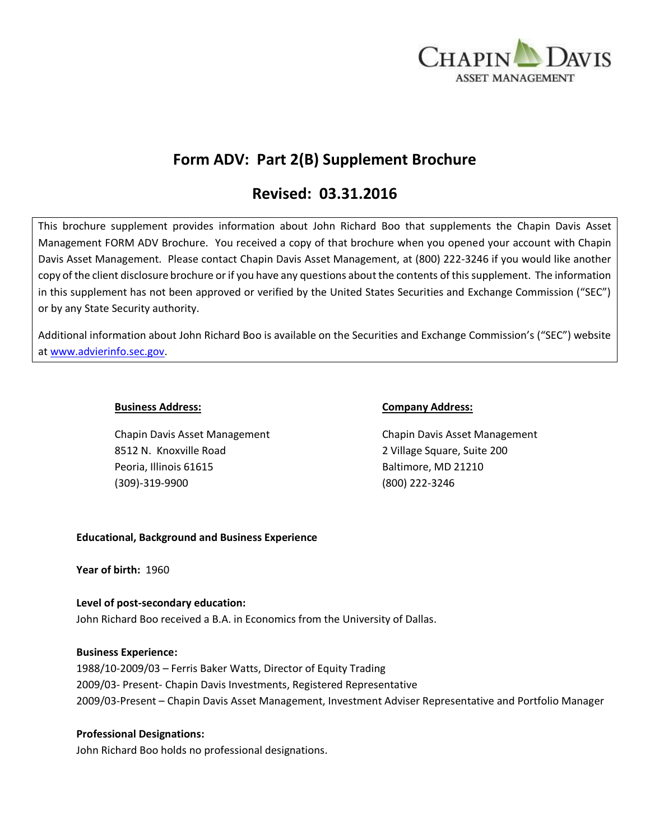

# **Form ADV: Part 2(B) Supplement Brochure**

# **Revised: 03.31.2016**

This brochure supplement provides information about John Richard Boo that supplements the Chapin Davis Asset Management FORM ADV Brochure. You received a copy of that brochure when you opened your account with Chapin Davis Asset Management. Please contact Chapin Davis Asset Management, at (800) 222-3246 if you would like another copy of the client disclosure brochure or if you have any questions about the contents of this supplement. The information in this supplement has not been approved or verified by the United States Securities and Exchange Commission ("SEC") or by any State Security authority.

Additional information about John Richard Boo is available on the Securities and Exchange Commission's ("SEC") website at [www.advierinfo.sec.gov.](http://www.advierinfo.sec.gov/)

Chapin Davis Asset Management Chapin Davis Asset Management 8512 N. Knoxville Road 2 Village Square, Suite 200 Peoria, Illinois 61615 Baltimore, MD 21210 (309)-319-9900 (800) 222-3246

#### **Business Address: Company Address:**

## **Educational, Background and Business Experience**

**Year of birth:** 1960

# **Level of post-secondary education:**  John Richard Boo received a B.A. in Economics from the University of Dallas.

## **Business Experience:**

1988/10-2009/03 – Ferris Baker Watts, Director of Equity Trading 2009/03- Present- Chapin Davis Investments, Registered Representative 2009/03-Present – Chapin Davis Asset Management, Investment Adviser Representative and Portfolio Manager

## **Professional Designations:**

John Richard Boo holds no professional designations.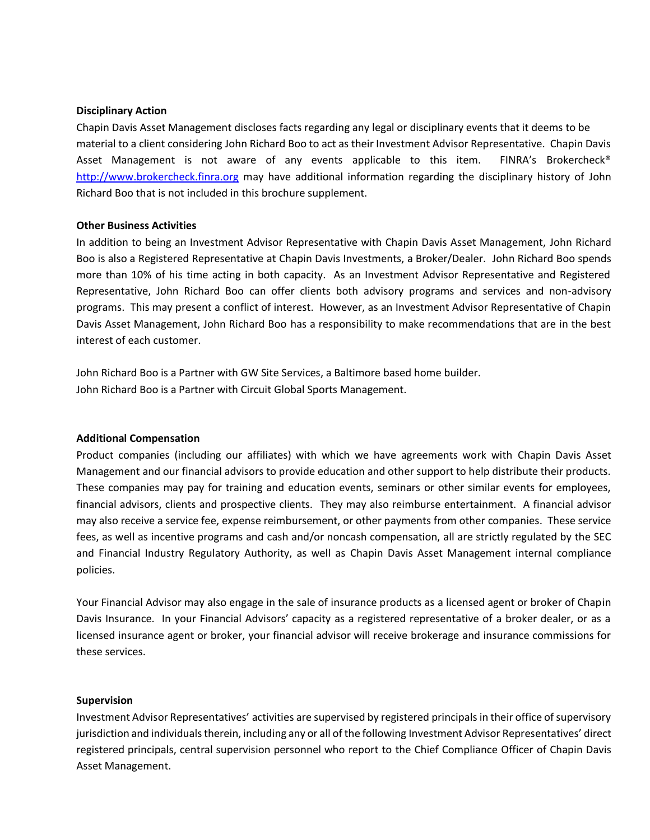#### **Disciplinary Action**

Chapin Davis Asset Management discloses facts regarding any legal or disciplinary events that it deems to be material to a client considering John Richard Boo to act as their Investment Advisor Representative. Chapin Davis Asset Management is not aware of any events applicable to this item. FINRA's Brokercheck® [http://www.brokercheck.finra.org](http://www.brokercheck.finra.org/) may have additional information regarding the disciplinary history of John Richard Boo that is not included in this brochure supplement.

#### **Other Business Activities**

In addition to being an Investment Advisor Representative with Chapin Davis Asset Management, John Richard Boo is also a Registered Representative at Chapin Davis Investments, a Broker/Dealer. John Richard Boo spends more than 10% of his time acting in both capacity. As an Investment Advisor Representative and Registered Representative, John Richard Boo can offer clients both advisory programs and services and non-advisory programs. This may present a conflict of interest. However, as an Investment Advisor Representative of Chapin Davis Asset Management, John Richard Boo has a responsibility to make recommendations that are in the best interest of each customer.

John Richard Boo is a Partner with GW Site Services, a Baltimore based home builder. John Richard Boo is a Partner with Circuit Global Sports Management.

#### **Additional Compensation**

Product companies (including our affiliates) with which we have agreements work with Chapin Davis Asset Management and our financial advisors to provide education and other support to help distribute their products. These companies may pay for training and education events, seminars or other similar events for employees, financial advisors, clients and prospective clients. They may also reimburse entertainment. A financial advisor may also receive a service fee, expense reimbursement, or other payments from other companies. These service fees, as well as incentive programs and cash and/or noncash compensation, all are strictly regulated by the SEC and Financial Industry Regulatory Authority, as well as Chapin Davis Asset Management internal compliance policies.

Your Financial Advisor may also engage in the sale of insurance products as a licensed agent or broker of Chapin Davis Insurance. In your Financial Advisors' capacity as a registered representative of a broker dealer, or as a licensed insurance agent or broker, your financial advisor will receive brokerage and insurance commissions for these services.

#### **Supervision**

Investment Advisor Representatives' activities are supervised by registered principals in their office of supervisory jurisdiction and individuals therein, including any or all of the following Investment Advisor Representatives' direct registered principals, central supervision personnel who report to the Chief Compliance Officer of Chapin Davis Asset Management.